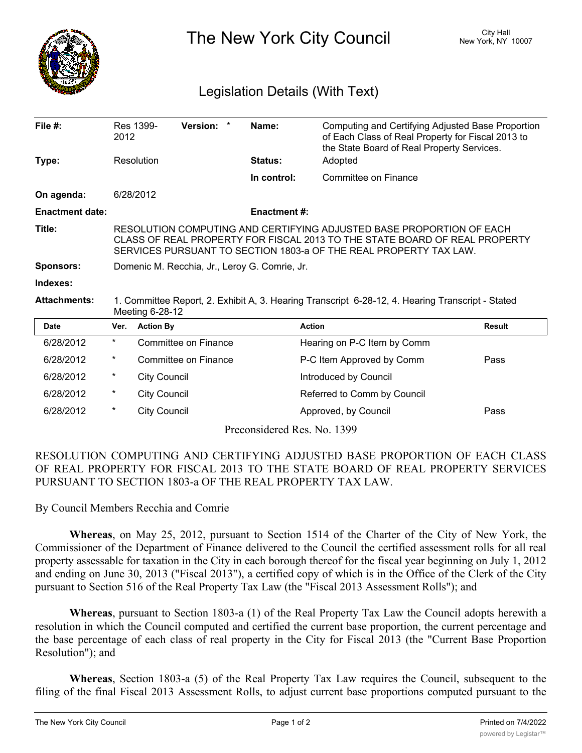

The New York City Council New York, NY 10007

## Legislation Details (With Text)

| File $#$ :                  | 2012                                                                                                                                                                                                                    | Res 1399-           | Version: *                  |  | Name:              | Computing and Certifying Adjusted Base Proportion<br>of Each Class of Real Property for Fiscal 2013 to<br>the State Board of Real Property Services. |               |
|-----------------------------|-------------------------------------------------------------------------------------------------------------------------------------------------------------------------------------------------------------------------|---------------------|-----------------------------|--|--------------------|------------------------------------------------------------------------------------------------------------------------------------------------------|---------------|
| Type:                       |                                                                                                                                                                                                                         | Resolution          |                             |  | Status:            | Adopted                                                                                                                                              |               |
|                             |                                                                                                                                                                                                                         |                     |                             |  | In control:        | Committee on Finance                                                                                                                                 |               |
| On agenda:                  | 6/28/2012                                                                                                                                                                                                               |                     |                             |  |                    |                                                                                                                                                      |               |
| <b>Enactment date:</b>      |                                                                                                                                                                                                                         |                     |                             |  | <b>Enactment#:</b> |                                                                                                                                                      |               |
| Title:                      | RESOLUTION COMPUTING AND CERTIFYING ADJUSTED BASE PROPORTION OF EACH<br>CLASS OF REAL PROPERTY FOR FISCAL 2013 TO THE STATE BOARD OF REAL PROPERTY<br>SERVICES PURSUANT TO SECTION 1803-a OF THE REAL PROPERTY TAX LAW. |                     |                             |  |                    |                                                                                                                                                      |               |
| <b>Sponsors:</b>            | Domenic M. Recchia, Jr., Leroy G. Comrie, Jr.                                                                                                                                                                           |                     |                             |  |                    |                                                                                                                                                      |               |
| Indexes:                    |                                                                                                                                                                                                                         |                     |                             |  |                    |                                                                                                                                                      |               |
| <b>Attachments:</b>         | 1. Committee Report, 2. Exhibit A, 3. Hearing Transcript 6-28-12, 4. Hearing Transcript - Stated<br>Meeting 6-28-12                                                                                                     |                     |                             |  |                    |                                                                                                                                                      |               |
| <b>Date</b>                 | Ver.                                                                                                                                                                                                                    | <b>Action By</b>    |                             |  | <b>Action</b>      |                                                                                                                                                      | <b>Result</b> |
| 6/28/2012                   | *                                                                                                                                                                                                                       |                     | <b>Committee on Finance</b> |  |                    | Hearing on P-C Item by Comm                                                                                                                          |               |
| 6/28/2012                   | *                                                                                                                                                                                                                       |                     | Committee on Finance        |  |                    | P-C Item Approved by Comm                                                                                                                            | Pass          |
| 6/28/2012                   | *                                                                                                                                                                                                                       | <b>City Council</b> |                             |  |                    | Introduced by Council                                                                                                                                |               |
| 6/28/2012                   | *                                                                                                                                                                                                                       | <b>City Council</b> |                             |  |                    | Referred to Comm by Council                                                                                                                          |               |
| 6/28/2012                   | *                                                                                                                                                                                                                       | <b>City Council</b> |                             |  |                    | Approved, by Council                                                                                                                                 | Pass          |
| Preconsidered Res. No. 1399 |                                                                                                                                                                                                                         |                     |                             |  |                    |                                                                                                                                                      |               |

RESOLUTION COMPUTING AND CERTIFYING ADJUSTED BASE PROPORTION OF EACH CLASS OF REAL PROPERTY FOR FISCAL 2013 TO THE STATE BOARD OF REAL PROPERTY SERVICES PURSUANT TO SECTION 1803-a OF THE REAL PROPERTY TAX LAW.

By Council Members Recchia and Comrie

**Whereas**, on May 25, 2012, pursuant to Section 1514 of the Charter of the City of New York, the Commissioner of the Department of Finance delivered to the Council the certified assessment rolls for all real property assessable for taxation in the City in each borough thereof for the fiscal year beginning on July 1, 2012 and ending on June 30, 2013 ("Fiscal 2013"), a certified copy of which is in the Office of the Clerk of the City pursuant to Section 516 of the Real Property Tax Law (the "Fiscal 2013 Assessment Rolls"); and

**Whereas**, pursuant to Section 1803-a (1) of the Real Property Tax Law the Council adopts herewith a resolution in which the Council computed and certified the current base proportion, the current percentage and the base percentage of each class of real property in the City for Fiscal 2013 (the "Current Base Proportion Resolution"); and

**Whereas**, Section 1803-a (5) of the Real Property Tax Law requires the Council, subsequent to the filing of the final Fiscal 2013 Assessment Rolls, to adjust current base proportions computed pursuant to the